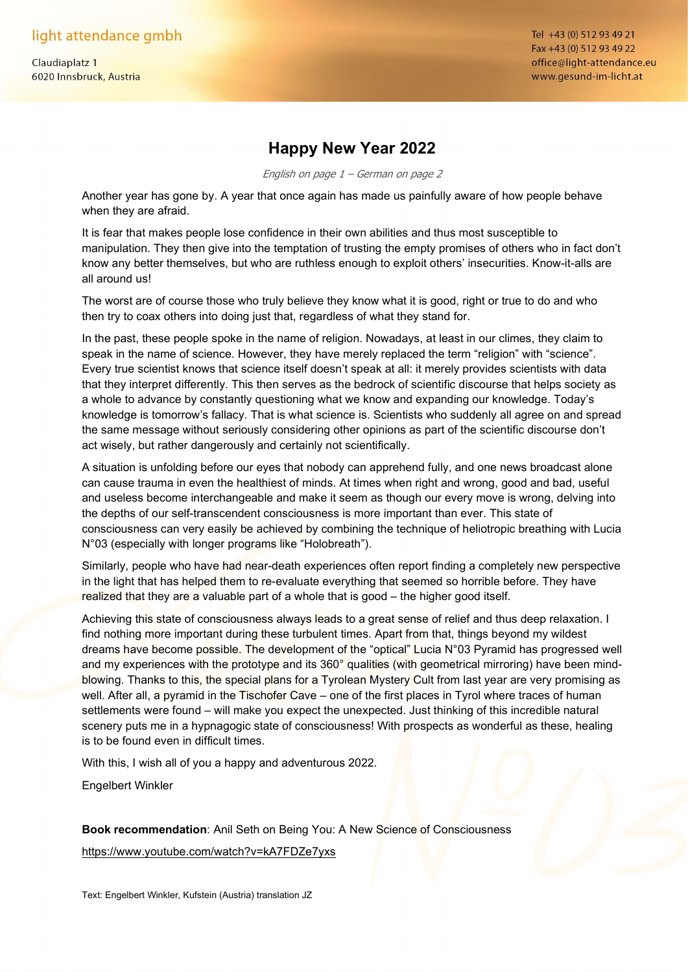light attendance gmbh

Claudiaplatz 1 6020 Innsbruck, Austria Tel +43 (0) 512 93 49 21 Fax +43 (0) 512 93 49 22 office@light-attendance.eu www.gesund-im-licht.at

## Happy New Year 2022

English on page 1 – German on page 2

Another year has gone by. A year that once again has made us painfully aware of how people behave when they are afraid.

It is fear that makes people lose confidence in their own abilities and thus most susceptible to manipulation. They then give into the temptation of trusting the empty promises of others who in fact don't know any better themselves, but who are ruthless enough to exploit others' insecurities. Know-it-alls are all around us!

The worst are of course those who truly believe they know what it is good, right or true to do and who then try to coax others into doing just that, regardless of what they stand for.

In the past, these people spoke in the name of religion. Nowadays, at least in our climes, they claim to speak in the name of science. However, they have merely replaced the term "religion" with "science". Every true scientist knows that science itself doesn't speak at all: it merely provides scientists with data that they interpret differently. This then serves as the bedrock of scientific discourse that helps society as a whole to advance by constantly questioning what we know and expanding our knowledge. Today's knowledge is tomorrow's fallacy. That is what science is. Scientists who suddenly all agree on and spread the same message without seriously considering other opinions as part of the scientific discourse don't act wisely, but rather dangerously and certainly not scientifically.

A situation is unfolding before our eyes that nobody can apprehend fully, and one news broadcast alone can cause trauma in even the healthiest of minds. At times when right and wrong, good and bad, useful and useless become interchangeable and make it seem as though our every move is wrong, delving into the depths of our self-transcendent consciousness is more important than ever. This state of consciousness can very easily be achieved by combining the technique of heliotropic breathing with Lucia N°03 (especially with longer programs like "Holobreath").

Similarly, people who have had near-death experiences often report finding a completely new perspective in the light that has helped them to re-evaluate everything that seemed so horrible before. They have realized that they are a valuable part of a whole that is good – the higher good itself.

Achieving this state of consciousness always leads to a great sense of relief and thus deep relaxation. I find nothing more important during these turbulent times. Apart from that, things beyond my wildest dreams have become possible. The development of the "optical" Lucia N°03 Pyramid has progressed well and my experiences with the prototype and its 360° qualities (with geometrical mirroring) have been mindblowing. Thanks to this, the special plans for a Tyrolean Mystery Cult from last year are very promising as well. After all, a pyramid in the Tischofer Cave – one of the first places in Tyrol where traces of human settlements were found – will make you expect the unexpected. Just thinking of this incredible natural scenery puts me in a hypnagogic state of consciousness! With prospects as wonderful as these, healing is to be found even in difficult times.

With this, I wish all of you a happy and adventurous 2022.

Engelbert Winkler

Book recommendation: Anil Seth on Being You: A New Science of Consciousness

https://www.youtube.com/watch?v=kA7FDZe7yxs

Text: Engelbert Winkler, Kufstein (Austria) translation JZ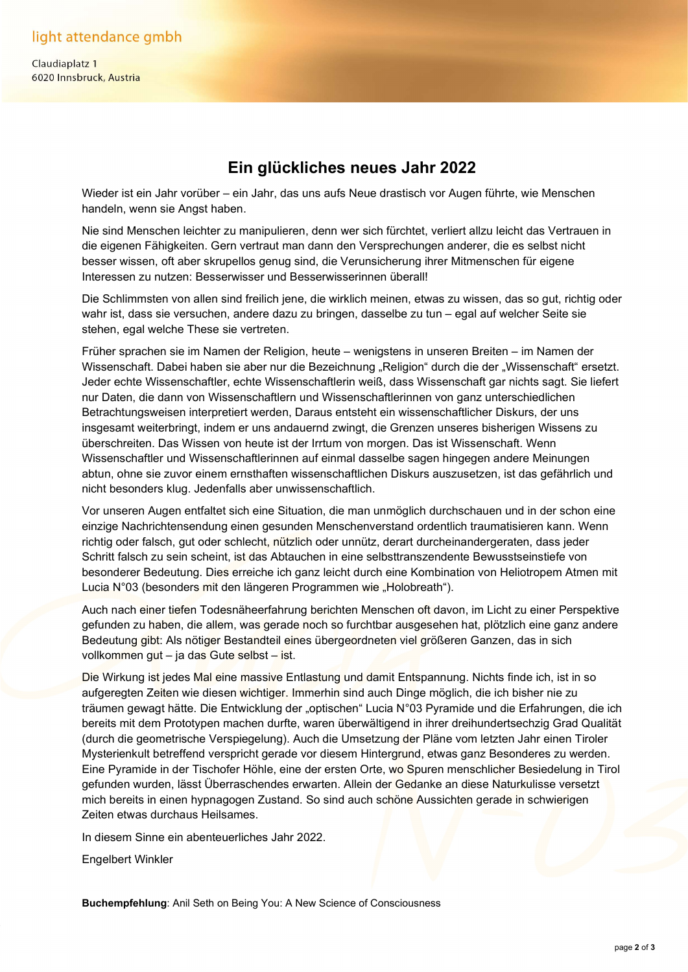Claudiaplatz 1 6020 Innsbruck, Austria

## Ein glückliches neues Jahr 2022

Wieder ist ein Jahr vorüber – ein Jahr, das uns aufs Neue drastisch vor Augen führte, wie Menschen handeln, wenn sie Angst haben.

Nie sind Menschen leichter zu manipulieren, denn wer sich fürchtet, verliert allzu leicht das Vertrauen in die eigenen Fähigkeiten. Gern vertraut man dann den Versprechungen anderer, die es selbst nicht besser wissen, oft aber skrupellos genug sind, die Verunsicherung ihrer Mitmenschen für eigene Interessen zu nutzen: Besserwisser und Besserwisserinnen überall!

Die Schlimmsten von allen sind freilich jene, die wirklich meinen, etwas zu wissen, das so gut, richtig oder wahr ist, dass sie versuchen, andere dazu zu bringen, dasselbe zu tun – egal auf welcher Seite sie stehen, egal welche These sie vertreten.

Früher sprachen sie im Namen der Religion, heute – wenigstens in unseren Breiten – im Namen der Wissenschaft. Dabei haben sie aber nur die Bezeichnung "Religion" durch die der "Wissenschaft" ersetzt. Jeder echte Wissenschaftler, echte Wissenschaftlerin weiß, dass Wissenschaft gar nichts sagt. Sie liefert nur Daten, die dann von Wissenschaftlern und Wissenschaftlerinnen von ganz unterschiedlichen Betrachtungsweisen interpretiert werden, Daraus entsteht ein wissenschaftlicher Diskurs, der uns insgesamt weiterbringt, indem er uns andauernd zwingt, die Grenzen unseres bisherigen Wissens zu überschreiten. Das Wissen von heute ist der Irrtum von morgen. Das ist Wissenschaft. Wenn Wissenschaftler und Wissenschaftlerinnen auf einmal dasselbe sagen hingegen andere Meinungen abtun, ohne sie zuvor einem ernsthaften wissenschaftlichen Diskurs auszusetzen, ist das gefährlich und nicht besonders klug. Jedenfalls aber unwissenschaftlich.

Vor unseren Augen entfaltet sich eine Situation, die man unmöglich durchschauen und in der schon eine einzige Nachrichtensendung einen gesunden Menschenverstand ordentlich traumatisieren kann. Wenn richtig oder falsch, gut oder schlecht, nützlich oder unnütz, derart durcheinandergeraten, dass jeder Schritt falsch zu sein scheint, ist das Abtauchen in eine selbsttranszendente Bewusstseinstiefe von besonderer Bedeutung. Dies erreiche ich ganz leicht durch eine Kombination von Heliotropem Atmen mit Lucia N°03 (besonders mit den längeren Programmen wie "Holobreath").

Auch nach einer tiefen Todesnäheerfahrung berichten Menschen oft davon, im Licht zu einer Perspektive gefunden zu haben, die allem, was gerade noch so furchtbar ausgesehen hat, plötzlich eine ganz andere Bedeutung gibt: Als nötiger Bestandteil eines übergeordneten viel größeren Ganzen, das in sich vollkommen gut – ja das Gute selbst – ist.

Die Wirkung ist jedes Mal eine massive Entlastung und damit Entspannung. Nichts finde ich, ist in so aufgeregten Zeiten wie diesen wichtiger. Immerhin sind auch Dinge möglich, die ich bisher nie zu träumen gewagt hätte. Die Entwicklung der "optischen" Lucia N°03 Pyramide und die Erfahrungen, die ich bereits mit dem Prototypen machen durfte, waren überwältigend in ihrer dreihundertsechzig Grad Qualität (durch die geometrische Verspiegelung). Auch die Umsetzung der Pläne vom letzten Jahr einen Tiroler Mysterienkult betreffend verspricht gerade vor diesem Hintergrund, etwas ganz Besonderes zu werden. Eine Pyramide in der Tischofer Höhle, eine der ersten Orte, wo Spuren menschlicher Besiedelung in Tirol gefunden wurden, lässt Überraschendes erwarten. Allein der Gedanke an diese Naturkulisse versetzt mich bereits in einen hypnagogen Zustand. So sind auch schöne Aussichten gerade in schwierigen Zeiten etwas durchaus Heilsames.

In diesem Sinne ein abenteuerliches Jahr 2022.

Engelbert Winkler

Buchempfehlung: Anil Seth on Being You: A New Science of Consciousness